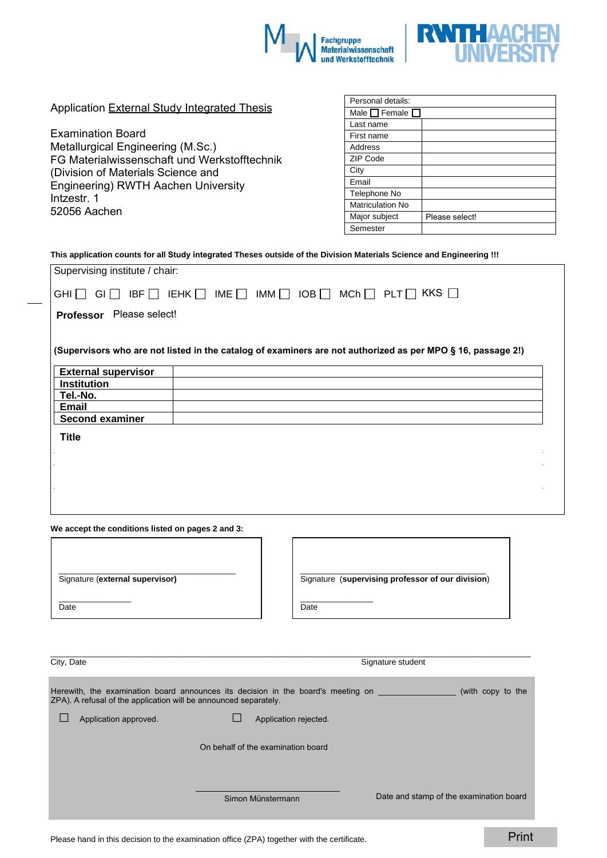



| Application External Study Integrated Thesis<br><b>Examination Board</b><br>Metallurgical Engineering (M.Sc.)<br>FG Materialwissenschaft und Werkstofftechnik<br>(Division of Materials Science and<br>Engineering) RWTH Aachen University<br>Intzestr. 1<br>52056 Aachen<br>Supervising institute / chair:<br>$GHI \Box$ GI $\Box$ IBF $\Box$ IEHK $\Box$ IME $\Box$ IMM $\Box$ IOB $\Box$ MCh $\Box$ PLT $\Box$ KKS $\Box$<br>Professor Please select! | Personal details:<br>Male $\Box$ Female $\Box$<br>Last name<br>First name<br>Address<br>ZIP Code<br>City<br>Email<br>Telephone No<br>Matriculation No<br>Major subject<br>Please select!<br>Semester<br>This application counts for all Study integrated Theses outside of the Division Materials Science and Engineering !!! |  |
|----------------------------------------------------------------------------------------------------------------------------------------------------------------------------------------------------------------------------------------------------------------------------------------------------------------------------------------------------------------------------------------------------------------------------------------------------------|-------------------------------------------------------------------------------------------------------------------------------------------------------------------------------------------------------------------------------------------------------------------------------------------------------------------------------|--|
| <b>External supervisor</b><br><b>Institution</b><br>Tel.-No.<br><b>Email</b><br><b>Second examiner</b><br><b>Title</b>                                                                                                                                                                                                                                                                                                                                   | (Supervisors who are not listed in the catalog of examiners are not authorized as per MPO § 16, passage 2!)                                                                                                                                                                                                                   |  |
| We accept the conditions listed on pages 2 and 3:                                                                                                                                                                                                                                                                                                                                                                                                        |                                                                                                                                                                                                                                                                                                                               |  |
| Signature (external supervisor)<br>Date                                                                                                                                                                                                                                                                                                                                                                                                                  | Signature (supervising professor of our division)<br>Date                                                                                                                                                                                                                                                                     |  |
| Signature student<br>City, Date                                                                                                                                                                                                                                                                                                                                                                                                                          |                                                                                                                                                                                                                                                                                                                               |  |
| Herewith, the examination board announces its decision in the board's meeting on<br>ZPA). A refusal of the application will be announced separately.<br>Application approved.<br>On behalf of the examination board                                                                                                                                                                                                                                      | (with copy to the<br>Application rejected.                                                                                                                                                                                                                                                                                    |  |
| Simon Münstermann                                                                                                                                                                                                                                                                                                                                                                                                                                        | Date and stamp of the examination board                                                                                                                                                                                                                                                                                       |  |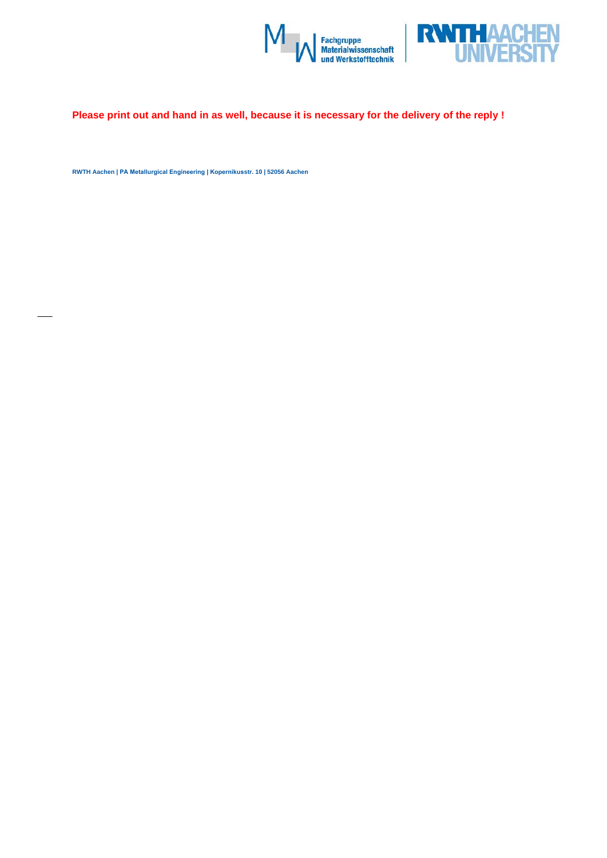



# **Please print out and hand in as well, because it is necessary for the delivery of the reply !**

**RWTH Aachen | PA Metallurgical Engineering | Kopernikusstr. 10 | 52056 Aachen**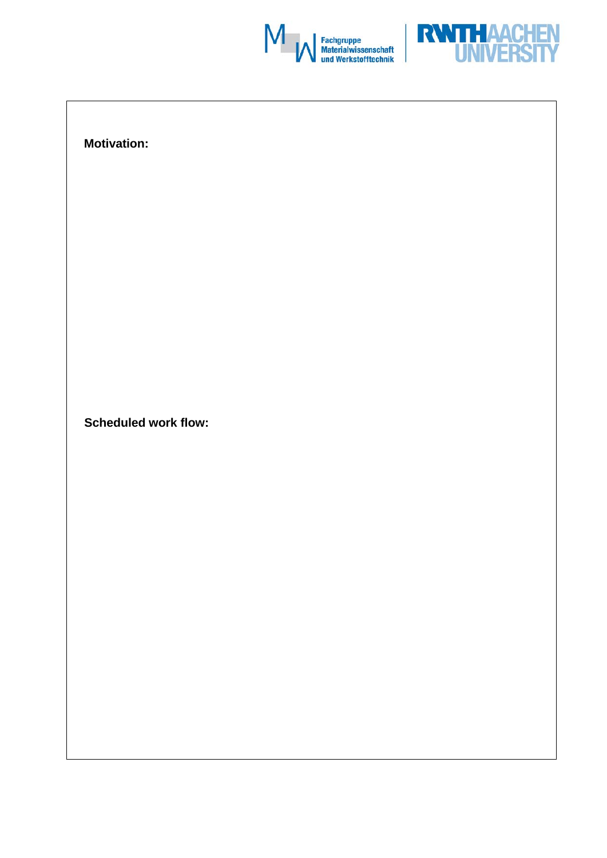



**Motivation:**

**Scheduled work flow:**